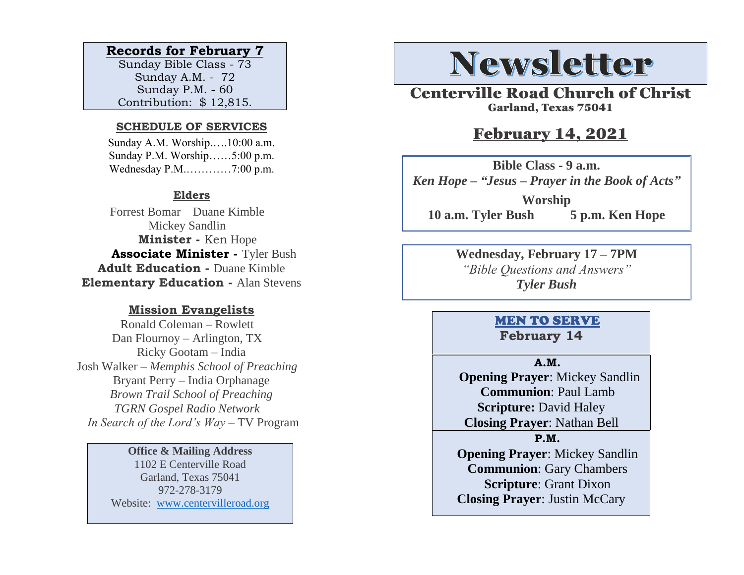#### **Records for February 7**

Sunday Bible Class - 73 Sunday A.M. - 72 Sunday P.M. - 60 Contribution: \$ 12,815.

#### **SCHEDULE OF SERVICES**

 Sunday A.M. Worship.….10:00 a.m. Sunday P.M. Worship……5:00 p.m. Wednesday P.M.…………7:00 p.m.

#### **Elders**

Forrest Bomar Duane Kimble Mickey Sandlin  **Minister -** Ken Hope  **Associate Minister -** Tyler Bush **Adult Education -** Duane Kimble **Elementary Education -** Alan Stevens

#### **Mission Evangelists**

Ronald Coleman – Rowlett Dan Flournoy – Arlington, TX Ricky Gootam – India Josh Walker – *Memphis School of Preaching* Bryant Perry – India Orphanage *Brown Trail School of Preaching TGRN Gospel Radio Network In Search of the Lord's Way* – TV Program

#### **Office & Mailing Address**

1102 E Centerville Road Garland, Texas 75041 972-278-3179 Website: [www.centervilleroad.org](https://d.docs.live.net/97e199c461b763eb/Newsletter/News%202020/August%202020/www.centervilleroad.org)

# **Newsletter**

Centerville Road Church of Christ Garland, Texas 75041

### February 14, 2021

**Bible Class - 9 a.m.** *Ken Hope – "Jesus – Prayer in the Book of Acts"* **Worship 10 a.m. Tyler Bush 5 p.m. Ken Hope**

> **Wednesday, February 17 – 7PM** *"Bible Questions and Answers" Tyler Bush*

#### MEN TO SERVE **February 14**

#### **A.M.**

 **Opening Prayer**: Mickey Sandlin **Communion**: Paul Lamb **Scripture:** David Haley **Closing Prayer**: Nathan Bell

#### **P.M.**

**Opening Prayer**: Mickey Sandlin **Communion**: Gary Chambers **Scripture**: Grant Dixon **Closing Prayer**: Justin McCary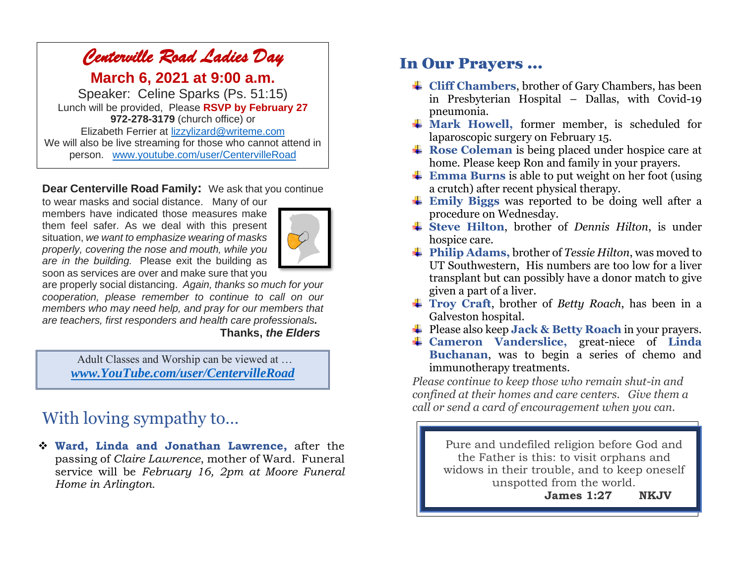## *Centerville Road Ladies Day*

**March 6, 2021 at 9:00 a.m.**

Speaker: Celine Sparks (Ps. 51:15) Lunch will be provided, Please **RSVP by February 27 972-278-3179** (church office) or Elizabeth Ferrier at [lizzylizard@writeme.com](mailto:lizzylizard@writeme.com) We will also be live streaming for those who cannot attend in person. [www.youtube.com/user/CentervilleRoad](http://www.youtube.com/user/CentervilleRoad)

#### **Dear Centerville Road Family:** We ask that you continue

to wear masks and social distance. Many of our members have indicated those measures make them feel safer. As we deal with this present situation, *we want to emphasize wearing of masks properly, covering the nose and mouth, while you are in the building.* Please exit the building as soon as services are over and make sure that you



are properly social distancing. *Again, thanks so much for your cooperation, please remember to continue to call on our members who may need help, and pray for our members that are teachers, first responders and health care professionals.*

#### **Thanks,** *the Elders*

Adult Classes and Worship can be viewed at … *[www.YouTube.com/user/CentervilleRoad](http://www.youtube.com/user/CentervilleRoad)*

## With loving sympathy to…

❖ **Ward, Linda and Jonathan Lawrence,** after the passing of *Claire Lawrence*, mother of Ward. Funeral service will be *February 16, 2pm at Moore Funeral Home in Arlington.* 

### In Our Prayers …

- **Cliff Chambers**, brother of Gary Chambers, has been in Presbyterian Hospital – Dallas, with Covid-19 pneumonia.
- **Mark Howell,** former member, is scheduled for laparoscopic surgery on February 15.
- **Rose Coleman** is being placed under hospice care at home. Please keep Ron and family in your prayers.
- **Emma Burns** is able to put weight on her foot (using a crutch) after recent physical therapy.
- **Emily Biggs** was reported to be doing well after a procedure on Wednesday.
- **Steve Hilton**, brother of *Dennis Hilton*, is under hospice care.
- **Philip Adams,** brother of *Tessie Hilton*, was moved to UT Southwestern, His numbers are too low for a liver transplant but can possibly have a donor match to give given a part of a liver.
- **Troy Craft**, brother of *Betty Roach*, has been in a Galveston hospital.
- **→** Please also keep **Jack & Betty Roach** in your prayers.
- **Cameron Vanderslice,** great-niece of **Linda Buchanan**, was to begin a series of chemo and immunotherapy treatments.

*Please continue to keep those who remain shut-in and confined at their homes and care centers. Give them a call or send a card of encouragement when you can.* 

> Pure and undefiled religion before God and the Father is this: to visit orphans and widows in their trouble, and to keep oneself unspotted from the world.

> > **James 1:27 NKJV**